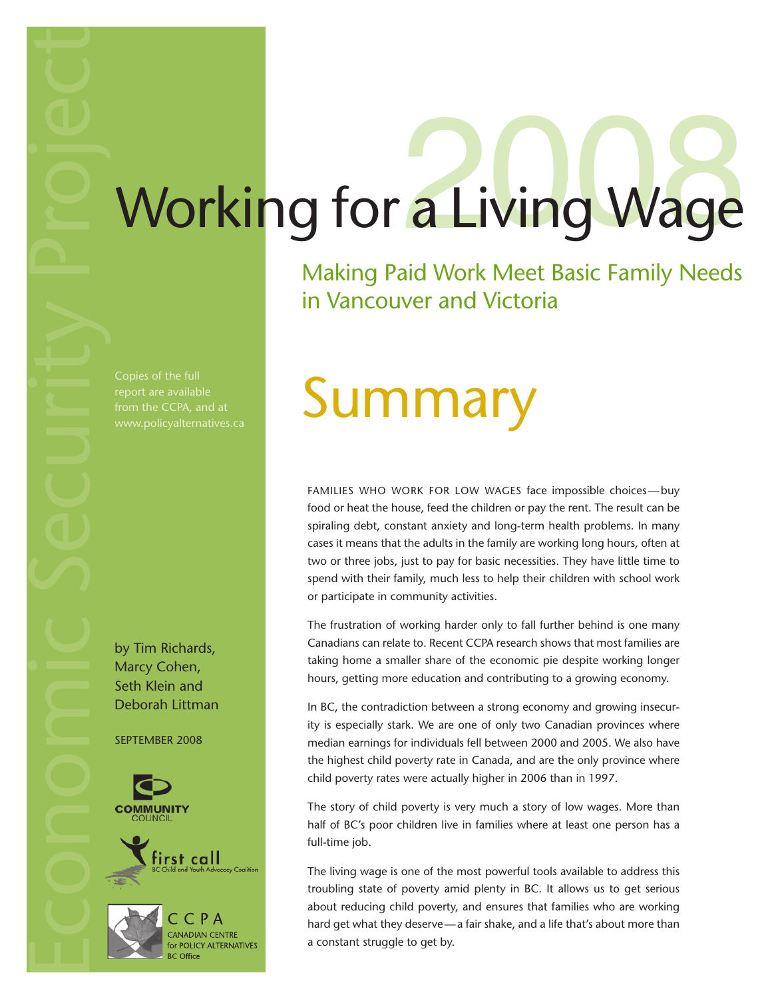# Working for a Living Wage

Making Paid Work Meet Basic Family Needs in Vancouver and Victoria

report are available

by Tim Richards, Marcy Cohen, Seth Klein and Deborah Littman

September 2008



## Copies of the full<br>report are available<br>from the CCPA, and at<br>www.policyalternatives ca

Families who work for low wages face impossible choices—buy food or heat the house, feed the children or pay the rent. The result can be spiraling debt, constant anxiety and long-term health problems. In many cases it means that the adults in the family are working long hours, often at two or three jobs, just to pay for basic necessities. They have little time to spend with their family, much less to help their children with school work or participate in community activities.

The frustration of working harder only to fall further behind is one many Canadians can relate to. Recent CCPA research shows that most families are taking home a smaller share of the economic pie despite working longer hours, getting more education and contributing to a growing economy.

In BC, the contradiction between a strong economy and growing insecurity is especially stark. We are one of only two Canadian provinces where median earnings for individuals fell between 2000 and 2005. We also have the highest child poverty rate in Canada, and are the only province where child poverty rates were actually higher in 2006 than in 1997.

The story of child poverty is very much a story of low wages. More than half of BC's poor children live in families where at least one person has a full-time job.

The living wage is one of the most powerful tools available to address this troubling state of poverty amid plenty in BC. It allows us to get serious about reducing child poverty, and ensures that families who are working hard get what they deserve—a fair shake, and a life that's about more than a constant struggle to get by.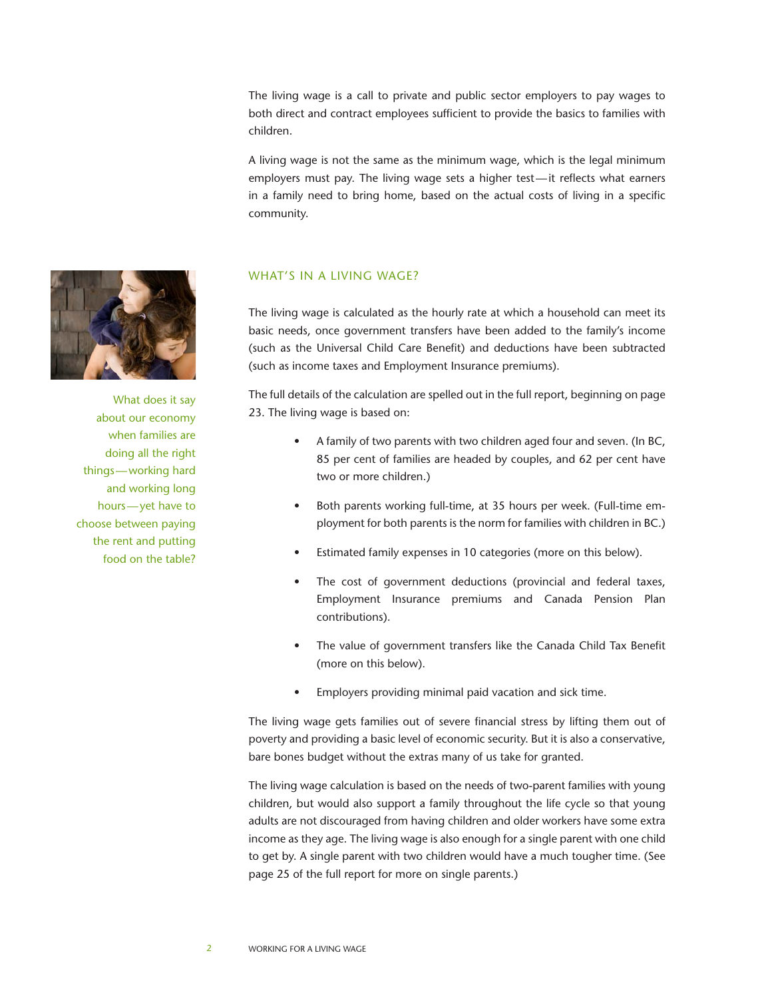The living wage is a call to private and public sector employers to pay wages to both direct and contract employees sufficient to provide the basics to families with children.

A living wage is not the same as the minimum wage, which is the legal minimum employers must pay. The living wage sets a higher test—it reflects what earners in a family need to bring home, based on the actual costs of living in a specific community.



What does it say about our economy when families are doing all the right things—working hard and working long hours—yet have to choose between paying the rent and putting food on the table?

## WHAT'S IN A LIVING WAGE?

The living wage is calculated as the hourly rate at which a household can meet its basic needs, once government transfers have been added to the family's income (such as the Universal Child Care Benefit) and deductions have been subtracted (such as income taxes and Employment Insurance premiums).

The full details of the calculation are spelled out in the full report, beginning on page 23. The living wage is based on:

- A family of two parents with two children aged four and seven. (In BC, 85 per cent of families are headed by couples, and 62 per cent have two or more children.)
- Both parents working full-time, at 35 hours per week. (Full-time employment for both parents is the norm for families with children in BC.)
- Estimated family expenses in 10 categories (more on this below).
- The cost of government deductions (provincial and federal taxes, Employment Insurance premiums and Canada Pension Plan contributions).
- The value of government transfers like the Canada Child Tax Benefit (more on this below).
- Employers providing minimal paid vacation and sick time.

The living wage gets families out of severe financial stress by lifting them out of poverty and providing a basic level of economic security. But it is also a conservative, bare bones budget without the extras many of us take for granted.

The living wage calculation is based on the needs of two-parent families with young children, but would also support a family throughout the life cycle so that young adults are not discouraged from having children and older workers have some extra income as they age. The living wage is also enough for a single parent with one child to get by. A single parent with two children would have a much tougher time. (See page 25 of the full report for more on single parents.)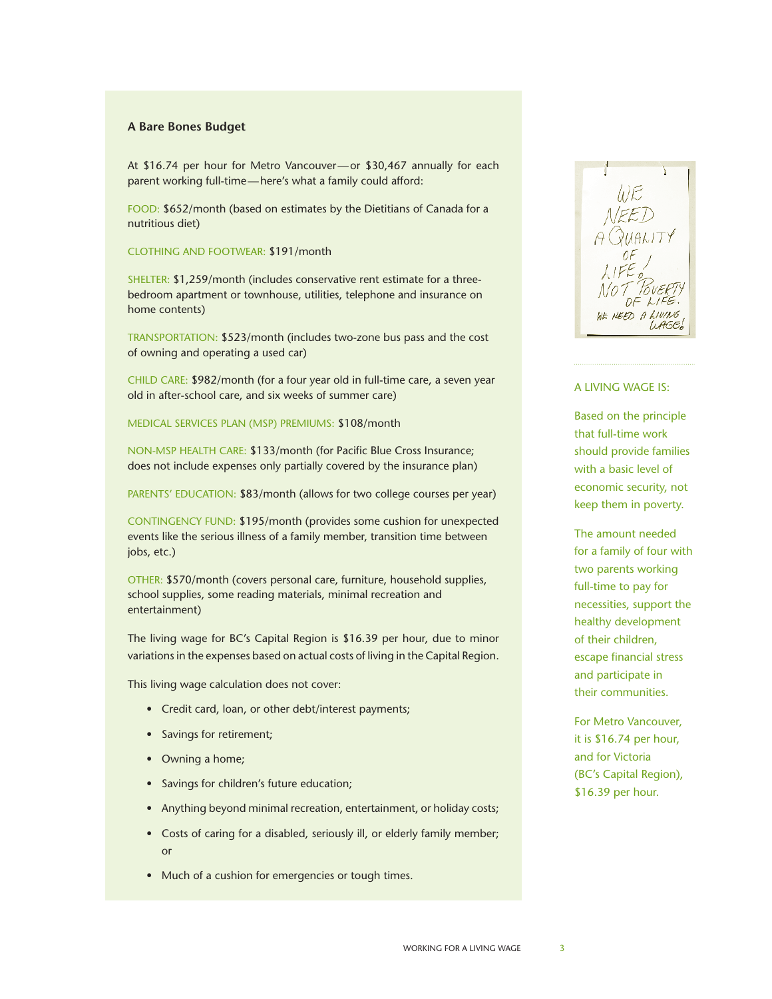### **A Bare Bones Budget**

At \$16.74 per hour for Metro Vancouver—or \$30,467 annually for each parent working full-time—here's what a family could afford:

FOOD: \$652/month (based on estimates by the Dietitians of Canada for a nutritious diet)

Clothing and footwear: \$191/month

SHELTER: \$1,259/month (includes conservative rent estimate for a threebedroom apartment or townhouse, utilities, telephone and insurance on home contents)

Transportation: \$523/month (includes two-zone bus pass and the cost of owning and operating a used car)

CHILD CARE: \$982/month (for a four year old in full-time care, a seven year old in after-school care, and six weeks of summer care)

Medical Services Plan (MSP) premiums: \$108/month

Non-MSP health care: \$133/month (for Pacific Blue Cross Insurance; does not include expenses only partially covered by the insurance plan)

PARENTS' EDUCATION: \$83/month (allows for two college courses per year)

CONTINGENCY FUND: \$195/month (provides some cushion for unexpected events like the serious illness of a family member, transition time between jobs, etc.)

OTHER: \$570/month (covers personal care, furniture, household supplies, school supplies, some reading materials, minimal recreation and entertainment)

The living wage for BC's Capital Region is \$16.39 per hour, due to minor variations in the expenses based on actual costs of living in the Capital Region.

This living wage calculation does not cover:

- Credit card, loan, or other debt/interest payments;
- Savings for retirement;
- Owning a home;
- Savings for children's future education;
- Anything beyond minimal recreation, entertainment, or holiday costs;
- Costs of caring for a disabled, seriously ill, or elderly family member; or
- Much of a cushion for emergencies or tough times.



### A living wage is:

Based on the principle that full-time work should provide families with a basic level of economic security, not keep them in poverty.

The amount needed for a family of four with two parents working full-time to pay for necessities, support the healthy development of their children, escape financial stress and participate in their communities.

For Metro Vancouver, it is \$16.74 per hour, and for Victoria (BC's Capital Region), \$16.39 per hour.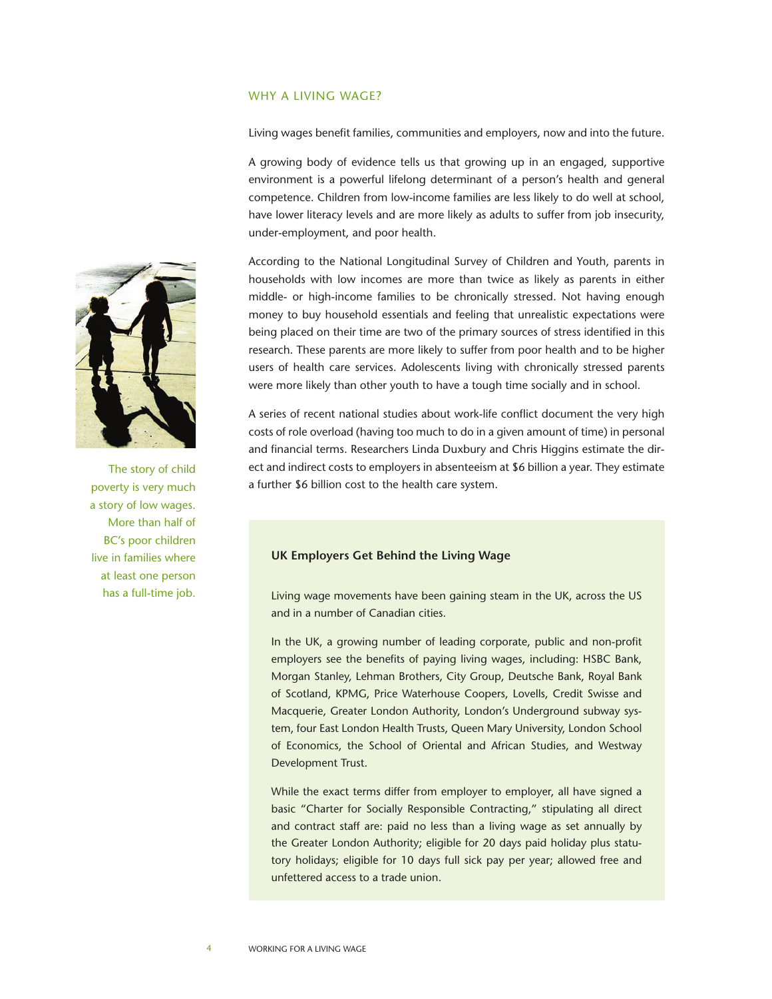### WHY A LIVING WAGE?

Living wages benefit families, communities and employers, now and into the future.

A growing body of evidence tells us that growing up in an engaged, supportive environment is a powerful lifelong determinant of a person's health and general competence. Children from low-income families are less likely to do well at school, have lower literacy levels and are more likely as adults to suffer from job insecurity, under-employment, and poor health.

According to the National Longitudinal Survey of Children and Youth, parents in households with low incomes are more than twice as likely as parents in either middle- or high-income families to be chronically stressed. Not having enough money to buy household essentials and feeling that unrealistic expectations were being placed on their time are two of the primary sources of stress identified in this research. These parents are more likely to suffer from poor health and to be higher users of health care services. Adolescents living with chronically stressed parents were more likely than other youth to have a tough time socially and in school.

A series of recent national studies about work-life conflict document the very high costs of role overload (having too much to do in a given amount of time) in personal and financial terms. Researchers Linda Duxbury and Chris Higgins estimate the direct and indirect costs to employers in absenteeism at \$6 billion a year. They estimate a further \$6 billion cost to the health care system.

### **UK Employers Get Behind the Living Wage**

Living wage movements have been gaining steam in the UK, across the US and in a number of Canadian cities.

In the UK, a growing number of leading corporate, public and non-profit employers see the benefits of paying living wages, including: HSBC Bank, Morgan Stanley, Lehman Brothers, City Group, Deutsche Bank, Royal Bank of Scotland, KPMG, Price Waterhouse Coopers, Lovells, Credit Swisse and Macquerie, Greater London Authority, London's Underground subway system, four East London Health Trusts, Queen Mary University, London School of Economics, the School of Oriental and African Studies, and Westway Development Trust.

While the exact terms differ from employer to employer, all have signed a basic "Charter for Socially Responsible Contracting," stipulating all direct and contract staff are: paid no less than a living wage as set annually by the Greater London Authority; eligible for 20 days paid holiday plus statutory holidays; eligible for 10 days full sick pay per year; allowed free and unfettered access to a trade union.



The story of child poverty is very much a story of low wages. More than half of BC's poor children live in families where at least one person has a full-time job.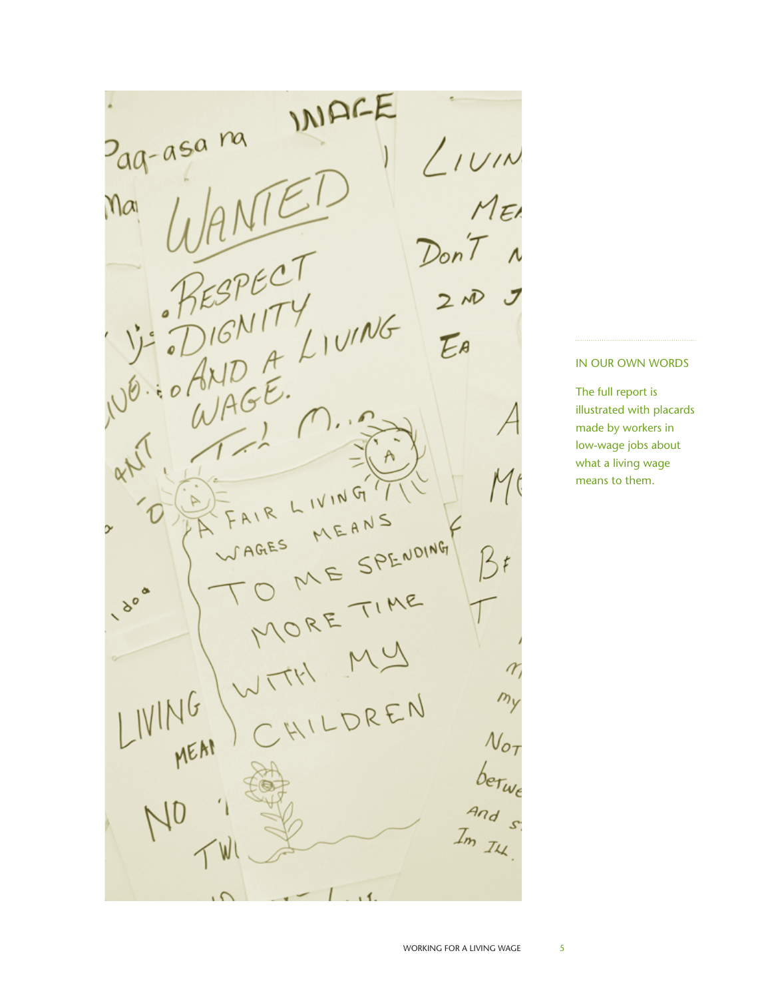INDEE z<sub>aq-asa</sub> na  $L_{IVIN}$  $MEI$  $Ma$  $DonT$ LIVING EA  $W^A$ IVING  $\leq$ MEAN D SPENDING AGES  $5t$ ME  $\sigma$  $\mathcal{P}$ HILDREN MEAN  $\mathcal{N}_{\scriptstyle\mathcal{O}_7}$  $b$ er<sub>wi</sub><br>and<br>Im Iu  $N<sub>0</sub>$ ، ،

### In our own words

The full report is illustrated with placards made by workers in low-wage jobs about what a living wage means to them.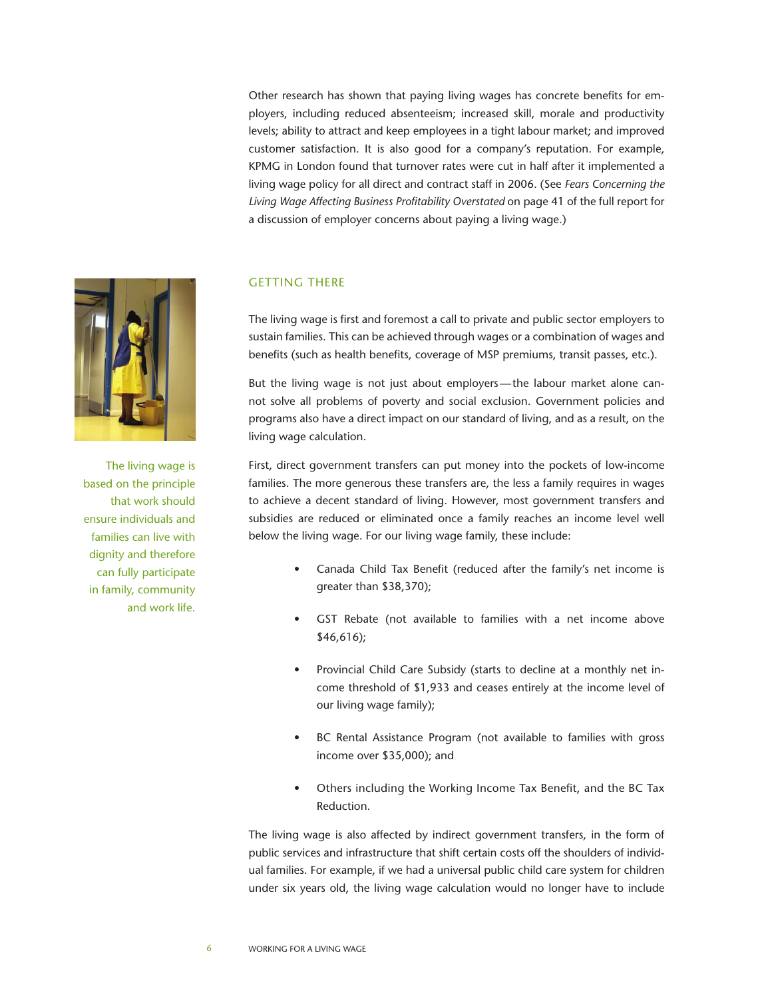Other research has shown that paying living wages has concrete benefits for employers, including reduced absenteeism; increased skill, morale and productivity levels; ability to attract and keep employees in a tight labour market; and improved customer satisfaction. It is also good for a company's reputation. For example, KPMG in London found that turnover rates were cut in half after it implemented a living wage policy for all direct and contract staff in 2006. (See *Fears Concerning the Living Wage Affecting Business Profitability Overstated* on page 41 of the full report for a discussion of employer concerns about paying a living wage.)



The living wage is based on the principle that work should ensure individuals and families can live with dignity and therefore can fully participate in family, community and work life.

### **GETTING THERE**

The living wage is first and foremost a call to private and public sector employers to sustain families. This can be achieved through wages or a combination of wages and benefits (such as health benefits, coverage of MSP premiums, transit passes, etc.).

But the living wage is not just about employers—the labour market alone cannot solve all problems of poverty and social exclusion. Government policies and programs also have a direct impact on our standard of living, and as a result, on the living wage calculation.

First, direct government transfers can put money into the pockets of low-income families. The more generous these transfers are, the less a family requires in wages to achieve a decent standard of living. However, most government transfers and subsidies are reduced or eliminated once a family reaches an income level well below the living wage. For our living wage family, these include:

- Canada Child Tax Benefit (reduced after the family's net income is greater than \$38,370);
- GST Rebate (not available to families with a net income above \$46,616);
- Provincial Child Care Subsidy (starts to decline at a monthly net income threshold of \$1,933 and ceases entirely at the income level of our living wage family);
- BC Rental Assistance Program (not available to families with gross income over \$35,000); and
- Others including the Working Income Tax Benefit, and the BC Tax Reduction.

The living wage is also affected by indirect government transfers, in the form of public services and infrastructure that shift certain costs off the shoulders of individual families. For example, if we had a universal public child care system for children under six years old, the living wage calculation would no longer have to include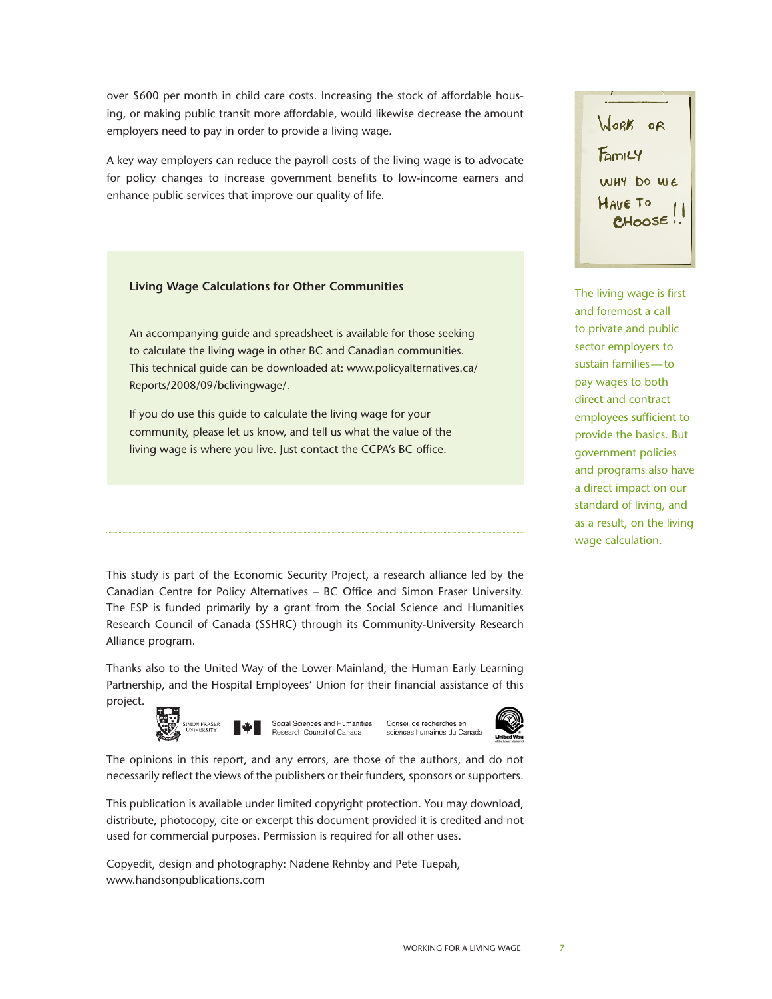over \$600 per month in child care costs. Increasing the stock of affordable housing, or making public transit more affordable, would likewise decrease the amount employers need to pay in order to provide a living wage.

A key way employers can reduce the payroll costs of the living wage is to advocate for policy changes to increase government benefits to low-income earners and enhance public services that improve our quality of life.

### **Living Wage Calculations for Other Communities**

An accompanying guide and spreadsheet is available for those seeking to calculate the living wage in other BC and Canadian communities. This technical guide can be downloaded at: www.policyalternatives.ca/ Reports/2008/09/bclivingwage/.

If you do use this guide to calculate the living wage for your community, please let us know, and tell us what the value of the living wage is where you live. Just contact the CCPA's BC office.

This study is part of the Economic Security Project, a research alliance led by the Canadian Centre for Policy Alternatives – BC Office and Simon Fraser University. The ESP is funded primarily by a grant from the Social Science and Humanities Research Council of Canada (SSHRC) through its Community-University Research Alliance program.

Thanks also to the United Way of the Lower Mainland, the Human Early Learning Partnership, and the Hospital Employees' Union for their financial assistance of this project.



The opinions in this report, and any errors, are those of the authors, and do not necessarily reflect the views of the publishers or their funders, sponsors or supporters.

This publication is available under limited copyright protection. You may download, distribute, photocopy, cite or excerpt this document provided it is credited and not used for commercial purposes. Permission is required for all other uses.

Copyedit, design and photography: Nadene Rehnby and Pete Tuepah, www.handsonpublications.com

WORK OR  $F_{am1} \vee$ WHY DO WE HAVE TO **CHOOSE** 

The living wage is first and foremost a call to private and public sector employers to sustain families—to pay wages to both direct and contract employees sufficient to provide the basics. But government policies and programs also have a direct impact on our standard of living, and as a result, on the living wage calculation.